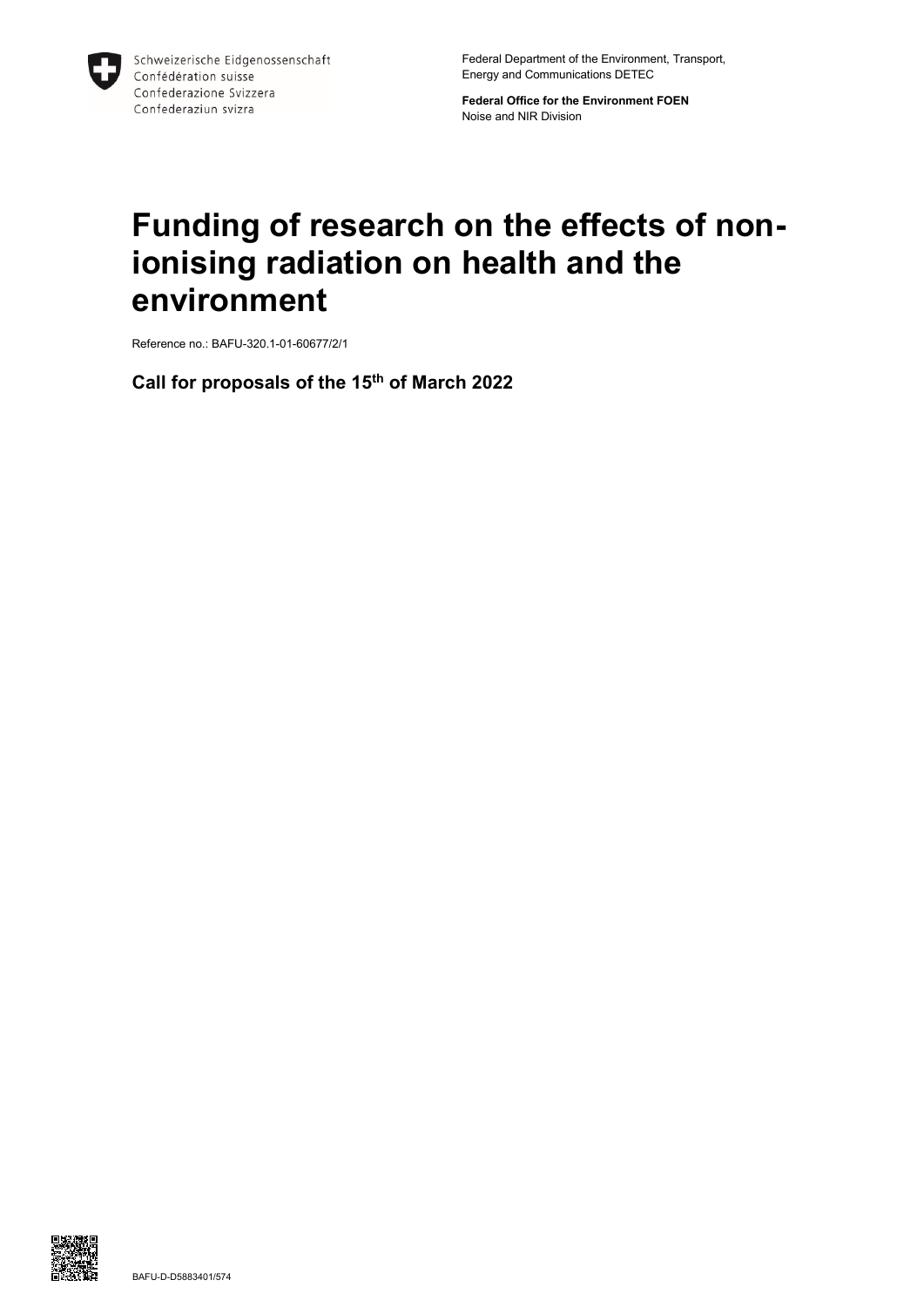

Federal Department of the Environment, Transport, Energy and Communications DETEC

**Federal Office for the Environment FOEN** Noise and NIR Division

# **Funding of research on the effects of nonionising radiation on health and the environment**

Reference no.: BAFU-320.1-01-60677/2/1

**Call for proposals of the 15 th of March 2022**

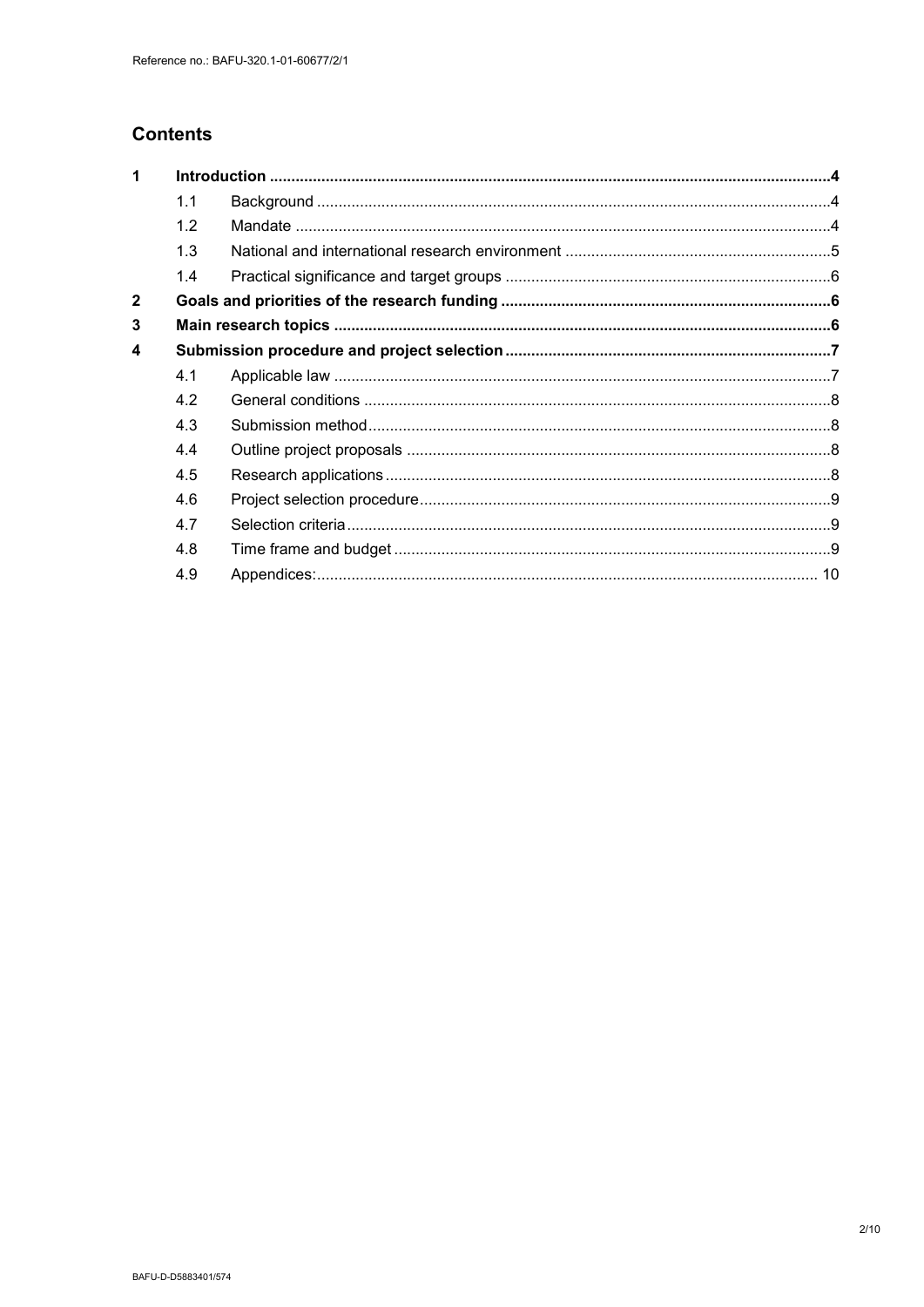## **Contents**

| 1            |     |  |  |
|--------------|-----|--|--|
|              | 1.1 |  |  |
|              | 1.2 |  |  |
|              | 1.3 |  |  |
|              | 1.4 |  |  |
| $\mathbf{2}$ |     |  |  |
| 3            |     |  |  |
| 4            |     |  |  |
|              | 4.1 |  |  |
|              | 4.2 |  |  |
|              | 4.3 |  |  |
|              | 4.4 |  |  |
|              | 4.5 |  |  |
|              | 4.6 |  |  |
|              | 4.7 |  |  |
|              | 4.8 |  |  |
|              | 4.9 |  |  |
|              |     |  |  |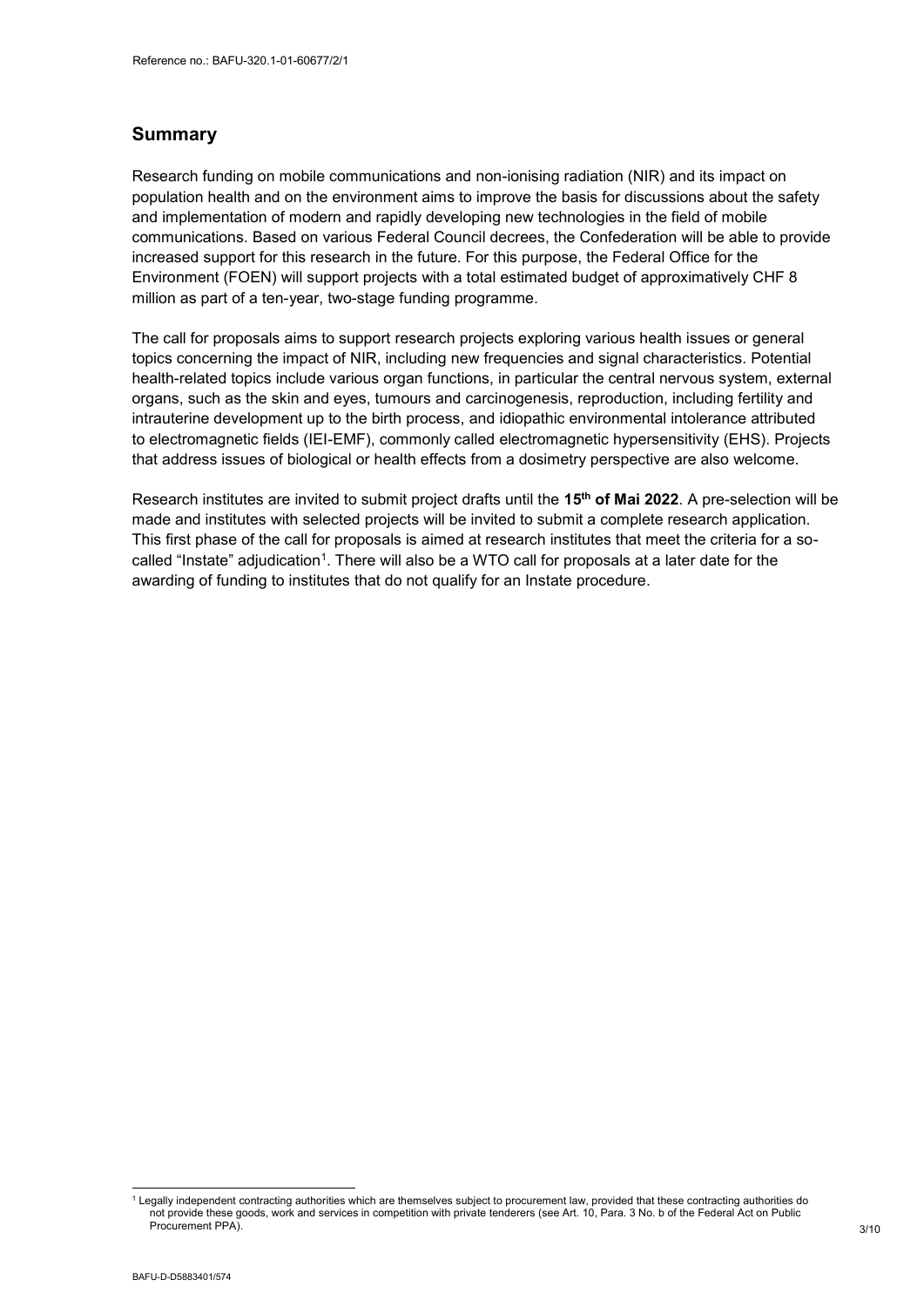## **Summary**

Research funding on mobile communications and non-ionising radiation (NIR) and its impact on population health and on the environment aims to improve the basis for discussions about the safety and implementation of modern and rapidly developing new technologies in the field of mobile communications. Based on various Federal Council decrees, the Confederation will be able to provide increased support for this research in the future. For this purpose, the Federal Office for the Environment (FOEN) will support projects with a total estimated budget of approximatively CHF 8 million as part of a ten-year, two-stage funding programme.

The call for proposals aims to support research projects exploring various health issues or general topics concerning the impact of NIR, including new frequencies and signal characteristics. Potential health-related topics include various organ functions, in particular the central nervous system, external organs, such as the skin and eyes, tumours and carcinogenesis, reproduction, including fertility and intrauterine development up to the birth process, and idiopathic environmental intolerance attributed to electromagnetic fields (IEI-EMF), commonly called electromagnetic hypersensitivity (EHS). Projects that address issues of biological or health effects from a dosimetry perspective are also welcome.

Research institutes are invited to submit project drafts until the **15th of Mai 2022**. A pre-selection will be made and institutes with selected projects will be invited to submit a complete research application. This first phase of the call for proposals is aimed at research institutes that meet the criteria for a socalled "Instate" adjudication<sup>1</sup>. There will also be a WTO call for proposals at a later date for the awarding of funding to institutes that do not qualify for an Instate procedure.

-

<sup>&</sup>lt;sup>1</sup> Legally independent contracting authorities which are themselves subject to procurement law, provided that these contracting authorities do not provide these goods, work and services in competition with private tenderers (see Art. 10, Para. 3 No. b of the Federal Act on Public Procurement PPA).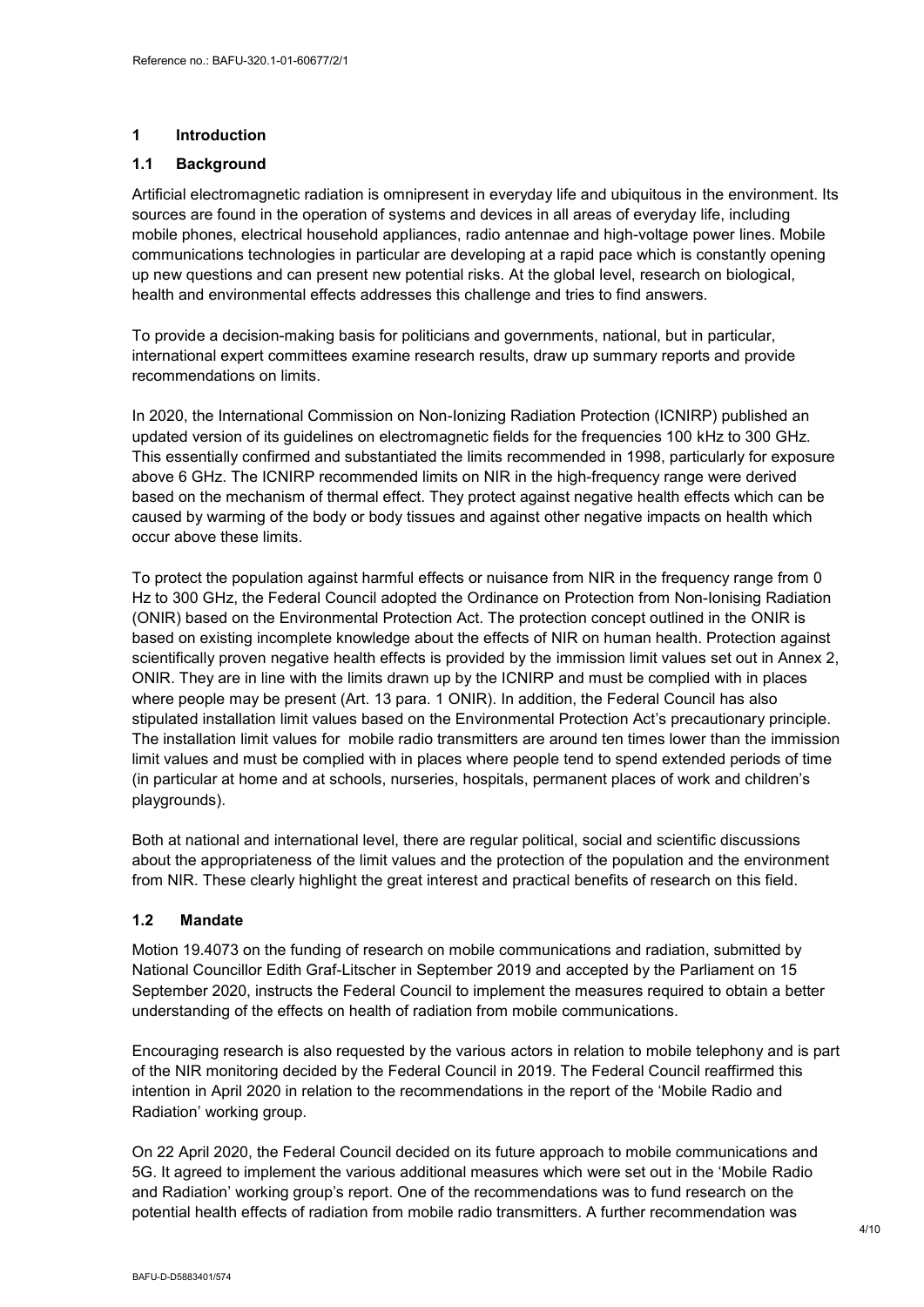## <span id="page-3-0"></span>**1 Introduction**

#### <span id="page-3-1"></span>**1.1 Background**

Artificial electromagnetic radiation is omnipresent in everyday life and ubiquitous in the environment. Its sources are found in the operation of systems and devices in all areas of everyday life, including mobile phones, electrical household appliances, radio antennae and high-voltage power lines. Mobile communications technologies in particular are developing at a rapid pace which is constantly opening up new questions and can present new potential risks. At the global level, research on biological, health and environmental effects addresses this challenge and tries to find answers.

To provide a decision-making basis for politicians and governments, national, but in particular, international expert committees examine research results, draw up summary reports and provide recommendations on limits.

In 2020, the International Commission on Non-Ionizing Radiation Protection (ICNIRP) published an updated version of its guidelines on electromagnetic fields for the frequencies 100 kHz to 300 GHz. This essentially confirmed and substantiated the limits recommended in 1998, particularly for exposure above 6 GHz. The ICNIRP recommended limits on NIR in the high-frequency range were derived based on the mechanism of thermal effect. They protect against negative health effects which can be caused by warming of the body or body tissues and against other negative impacts on health which occur above these limits.

To protect the population against harmful effects or nuisance from NIR in the frequency range from 0 Hz to 300 GHz, the Federal Council adopted the Ordinance on Protection from Non-Ionising Radiation (ONIR) based on the Environmental Protection Act. The protection concept outlined in the ONIR is based on existing incomplete knowledge about the effects of NIR on human health. Protection against scientifically proven negative health effects is provided by the immission limit values set out in Annex 2, ONIR. They are in line with the limits drawn up by the ICNIRP and must be complied with in places where people may be present (Art. 13 para. 1 ONIR). In addition, the Federal Council has also stipulated installation limit values based on the Environmental Protection Act's precautionary principle. The installation limit values for mobile radio transmitters are around ten times lower than the immission limit values and must be complied with in places where people tend to spend extended periods of time (in particular at home and at schools, nurseries, hospitals, permanent places of work and children's playgrounds).

Both at national and international level, there are regular political, social and scientific discussions about the appropriateness of the limit values and the protection of the population and the environment from NIR. These clearly highlight the great interest and practical benefits of research on this field.

## <span id="page-3-2"></span>**1.2 Mandate**

Motion 19.4073 on the funding of research on mobile communications and radiation, submitted by National Councillor Edith Graf-Litscher in September 2019 and accepted by the Parliament on 15 September 2020, instructs the Federal Council to implement the measures required to obtain a better understanding of the effects on health of radiation from mobile communications.

Encouraging research is also requested by the various actors in relation to mobile telephony and is part of the NIR monitoring decided by the Federal Council in 2019. The Federal Council reaffirmed this intention in April 2020 in relation to the recommendations in the report of the 'Mobile Radio and Radiation' working group.

On 22 April 2020, the Federal Council decided on its future approach to mobile communications and 5G. It agreed to implement the various additional measures which were set out in the 'Mobile Radio and Radiation' working group's report. One of the recommendations was to fund research on the potential health effects of radiation from mobile radio transmitters. A further recommendation was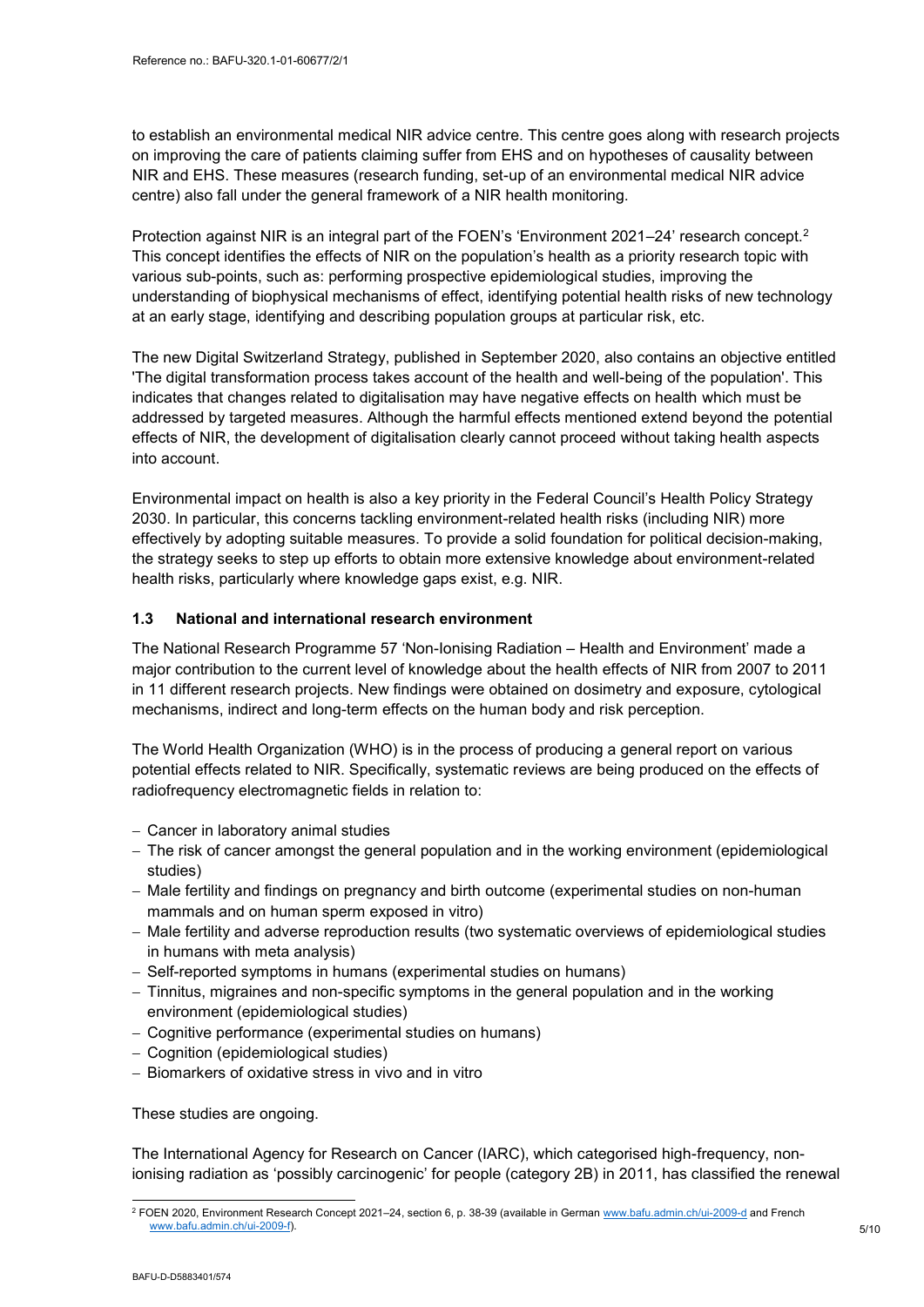to establish an environmental medical NIR advice centre. This centre goes along with research projects on improving the care of patients claiming suffer from EHS and on hypotheses of causality between NIR and EHS. These measures (research funding, set-up of an environmental medical NIR advice centre) also fall under the general framework of a NIR health monitoring.

Protection against NIR is an integral part of the FOEN's 'Environment 2021–24' research concept.<sup>2</sup> This concept identifies the effects of NIR on the population's health as a priority research topic with various sub-points, such as: performing prospective epidemiological studies, improving the understanding of biophysical mechanisms of effect, identifying potential health risks of new technology at an early stage, identifying and describing population groups at particular risk, etc.

The new Digital Switzerland Strategy, published in September 2020, also contains an objective entitled 'The digital transformation process takes account of the health and well-being of the population'. This indicates that changes related to digitalisation may have negative effects on health which must be addressed by targeted measures. Although the harmful effects mentioned extend beyond the potential effects of NIR, the development of digitalisation clearly cannot proceed without taking health aspects into account.

Environmental impact on health is also a key priority in the Federal Council's Health Policy Strategy 2030. In particular, this concerns tackling environment-related health risks (including NIR) more effectively by adopting suitable measures. To provide a solid foundation for political decision-making, the strategy seeks to step up efforts to obtain more extensive knowledge about environment-related health risks, particularly where knowledge gaps exist, e.g. NIR.

## <span id="page-4-0"></span>**1.3 National and international research environment**

The National Research Programme 57 'Non-Ionising Radiation – Health and Environment' made a major contribution to the current level of knowledge about the health effects of NIR from 2007 to 2011 in 11 different research projects. New findings were obtained on dosimetry and exposure, cytological mechanisms, indirect and long-term effects on the human body and risk perception.

The World Health Organization (WHO) is in the process of producing a general report on various potential effects related to NIR. Specifically, systematic reviews are being produced on the effects of radiofrequency electromagnetic fields in relation to:

- Cancer in laboratory animal studies
- The risk of cancer amongst the general population and in the working environment (epidemiological studies)
- Male fertility and findings on pregnancy and birth outcome (experimental studies on non-human mammals and on human sperm exposed in vitro)
- Male fertility and adverse reproduction results (two systematic overviews of epidemiological studies in humans with meta analysis)
- Self-reported symptoms in humans (experimental studies on humans)
- Tinnitus, migraines and non-specific symptoms in the general population and in the working environment (epidemiological studies)
- Cognitive performance (experimental studies on humans)
- Cognition (epidemiological studies)
- Biomarkers of oxidative stress in vivo and in vitro

These studies are ongoing.

The International Agency for Research on Cancer (IARC), which categorised high-frequency, nonionising radiation as 'possibly carcinogenic' for people (category 2B) in 2011, has classified the renewal

<sup>-</sup><sup>2</sup> FOEN 2020, Environment Research Concept 2021–24, section 6, p. 38-39 (available in German <u>www.bafu.admin.ch/ui-2009-d</u> and French [www.bafu.admin.ch/ui-2009-f\)](http://www.bafu.admin.ch/ui-2009-f).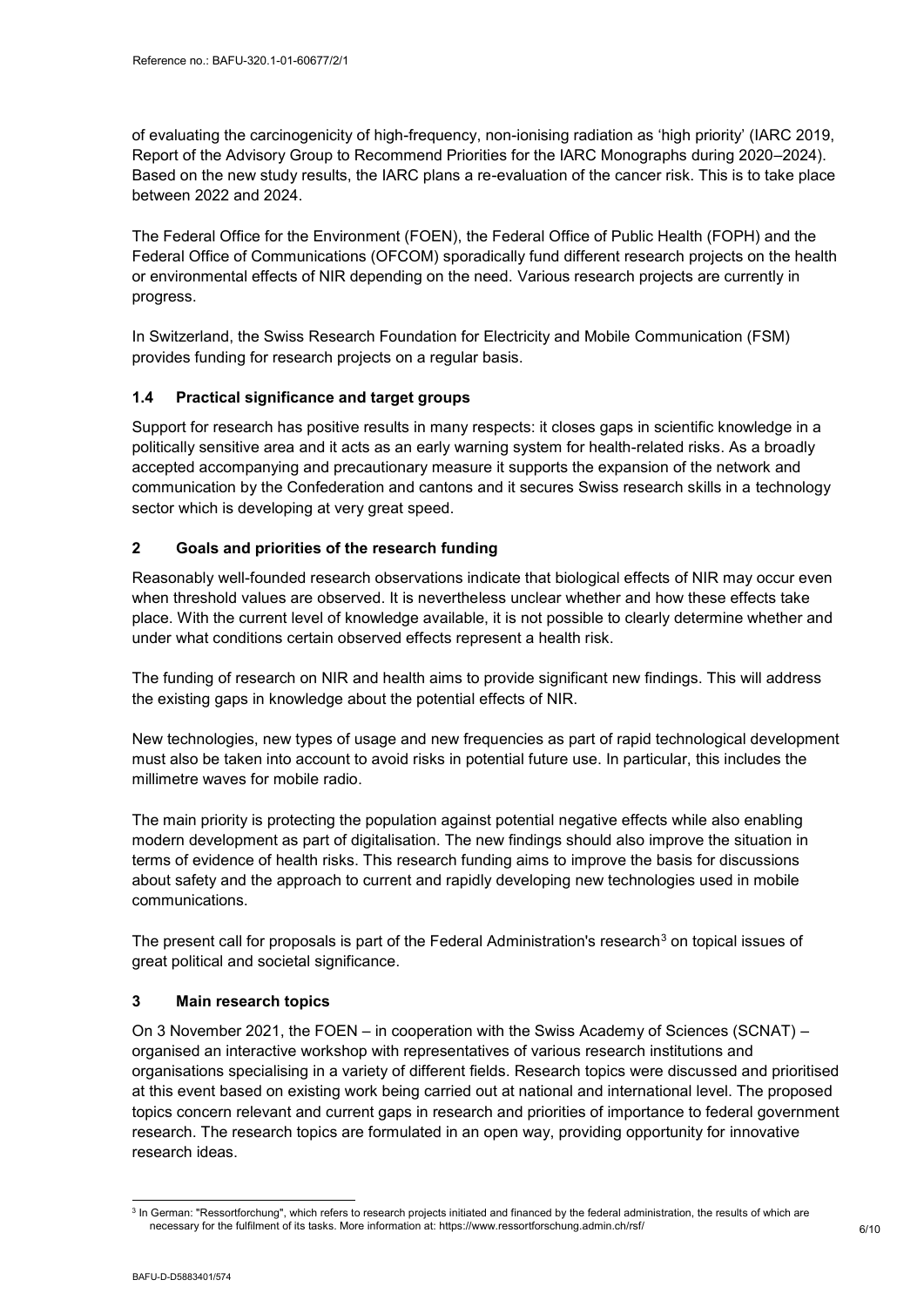of evaluating the carcinogenicity of high-frequency, non-ionising radiation as 'high priority' (IARC 2019, Report of the Advisory Group to Recommend Priorities for the IARC Monographs during 2020–2024). Based on the new study results, the IARC plans a re-evaluation of the cancer risk. This is to take place between 2022 and 2024.

The Federal Office for the Environment (FOEN), the Federal Office of Public Health (FOPH) and the Federal Office of Communications (OFCOM) sporadically fund different research projects on the health or environmental effects of NIR depending on the need. Various research projects are currently in progress.

In Switzerland, the Swiss Research Foundation for Electricity and Mobile Communication (FSM) provides funding for research projects on a regular basis.

## <span id="page-5-0"></span>**1.4 Practical significance and target groups**

Support for research has positive results in many respects: it closes gaps in scientific knowledge in a politically sensitive area and it acts as an early warning system for health-related risks. As a broadly accepted accompanying and precautionary measure it supports the expansion of the network and communication by the Confederation and cantons and it secures Swiss research skills in a technology sector which is developing at very great speed.

## <span id="page-5-1"></span>**2 Goals and priorities of the research funding**

Reasonably well-founded research observations indicate that biological effects of NIR may occur even when threshold values are observed. It is nevertheless unclear whether and how these effects take place. With the current level of knowledge available, it is not possible to clearly determine whether and under what conditions certain observed effects represent a health risk.

The funding of research on NIR and health aims to provide significant new findings. This will address the existing gaps in knowledge about the potential effects of NIR.

New technologies, new types of usage and new frequencies as part of rapid technological development must also be taken into account to avoid risks in potential future use. In particular, this includes the millimetre waves for mobile radio.

The main priority is protecting the population against potential negative effects while also enabling modern development as part of digitalisation. The new findings should also improve the situation in terms of evidence of health risks. This research funding aims to improve the basis for discussions about safety and the approach to current and rapidly developing new technologies used in mobile communications.

The present call for proposals is part of the Federal Administration's research $3$  on topical issues of great political and societal significance.

## <span id="page-5-2"></span>**3 Main research topics**

On 3 November 2021, the FOEN – in cooperation with the Swiss Academy of Sciences (SCNAT) – organised an interactive workshop with representatives of various research institutions and organisations specialising in a variety of different fields. Research topics were discussed and prioritised at this event based on existing work being carried out at national and international level. The proposed topics concern relevant and current gaps in research and priorities of importance to federal government research. The research topics are formulated in an open way, providing opportunity for innovative research ideas.

 3 In German: "Ressortforchung", which refers to research projects initiated and financed by the federal administration, the results of which are necessary for the fulfilment of its tasks. More information at: https://www.ressortforschung.admin.ch/rsf/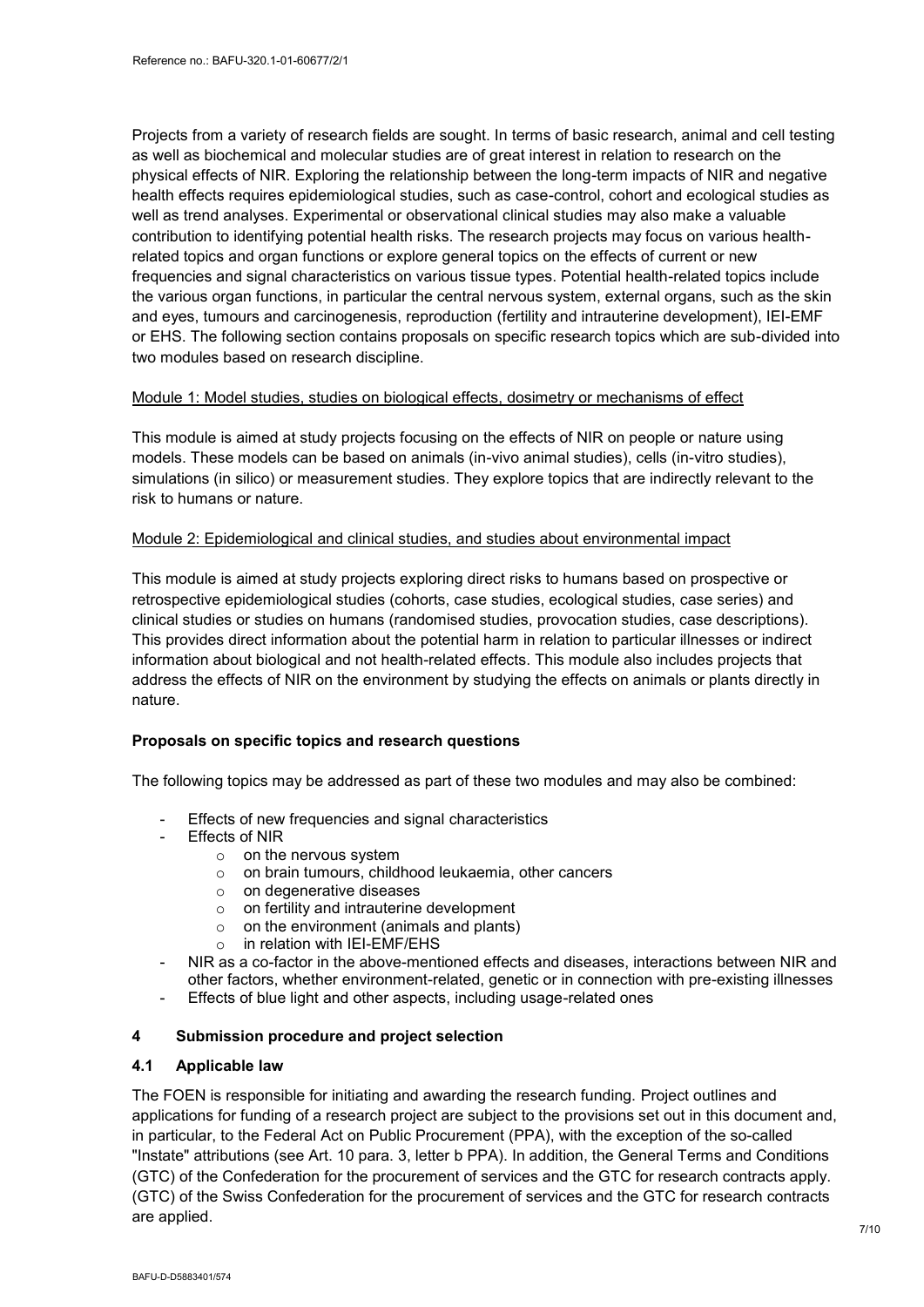Projects from a variety of research fields are sought. In terms of basic research, animal and cell testing as well as biochemical and molecular studies are of great interest in relation to research on the physical effects of NIR. Exploring the relationship between the long-term impacts of NIR and negative health effects requires epidemiological studies, such as case-control, cohort and ecological studies as well as trend analyses. Experimental or observational clinical studies may also make a valuable contribution to identifying potential health risks. The research projects may focus on various healthrelated topics and organ functions or explore general topics on the effects of current or new frequencies and signal characteristics on various tissue types. Potential health-related topics include the various organ functions, in particular the central nervous system, external organs, such as the skin and eyes, tumours and carcinogenesis, reproduction (fertility and intrauterine development), IEI-EMF or EHS. The following section contains proposals on specific research topics which are sub-divided into two modules based on research discipline.

## Module 1: Model studies, studies on biological effects, dosimetry or mechanisms of effect

This module is aimed at study projects focusing on the effects of NIR on people or nature using models. These models can be based on animals (in-vivo animal studies), cells (in-vitro studies), simulations (in silico) or measurement studies. They explore topics that are indirectly relevant to the risk to humans or nature.

## Module 2: Epidemiological and clinical studies, and studies about environmental impact

This module is aimed at study projects exploring direct risks to humans based on prospective or retrospective epidemiological studies (cohorts, case studies, ecological studies, case series) and clinical studies or studies on humans (randomised studies, provocation studies, case descriptions). This provides direct information about the potential harm in relation to particular illnesses or indirect information about biological and not health-related effects. This module also includes projects that address the effects of NIR on the environment by studying the effects on animals or plants directly in nature.

## **Proposals on specific topics and research questions**

The following topics may be addressed as part of these two modules and may also be combined:

- Effects of new frequencies and signal characteristics
- Effects of NIR
	- o on the nervous system
	- o on brain tumours, childhood leukaemia, other cancers
	- o on degenerative diseases
	- o on fertility and intrauterine development
	- $\circ$  on the environment (animals and plants)
	- $\circ$  in relation with IEI-EMF/EHS
- NIR as a co-factor in the above-mentioned effects and diseases, interactions between NIR and other factors, whether environment-related, genetic or in connection with pre-existing illnesses
- Effects of blue light and other aspects, including usage-related ones

## <span id="page-6-0"></span>**4 Submission procedure and project selection**

## <span id="page-6-1"></span>**4.1 Applicable law**

The FOEN is responsible for initiating and awarding the research funding. Project outlines and applications for funding of a research project are subject to the provisions set out in this document and, in particular, to the Federal Act on Public Procurement (PPA), with the exception of the so-called "Instate" attributions (see Art. 10 para. 3, letter b PPA). In addition, the General Terms and Conditions (GTC) of the Confederation for the procurement of services and the GTC for research contracts apply. (GTC) of the Swiss Confederation for the procurement of services and the GTC for research contracts are applied.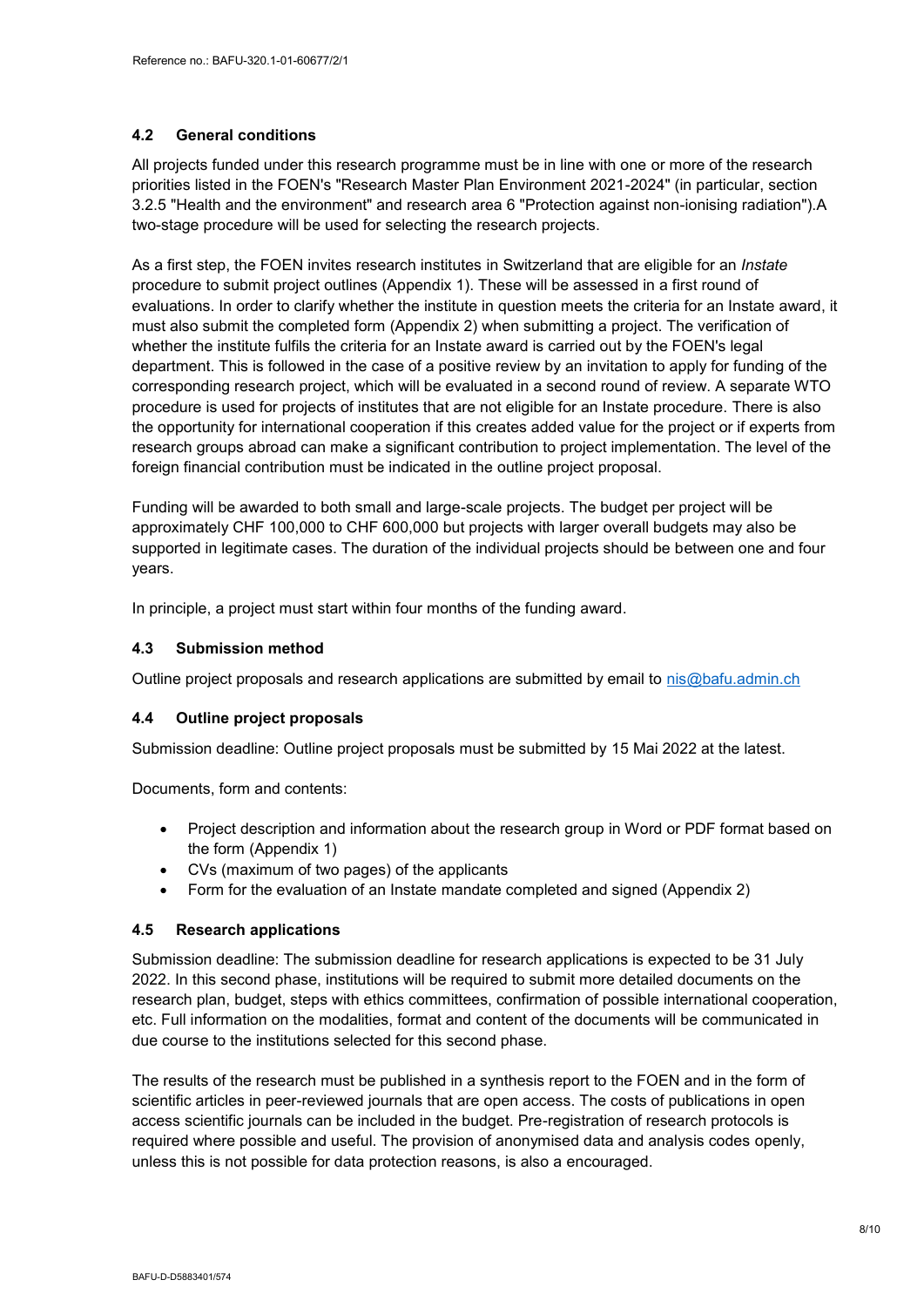#### <span id="page-7-0"></span>**4.2 General conditions**

All projects funded under this research programme must be in line with one or more of the research priorities listed in the FOEN's "Research Master Plan Environment 2021-2024" (in particular, section 3.2.5 "Health and the environment" and research area 6 "Protection against non-ionising radiation").A two-stage procedure will be used for selecting the research projects.

As a first step, the FOEN invites research institutes in Switzerland that are eligible for an *Instate* procedure to submit project outlines (Appendix 1). These will be assessed in a first round of evaluations. In order to clarify whether the institute in question meets the criteria for an Instate award, it must also submit the completed form (Appendix 2) when submitting a project. The verification of whether the institute fulfils the criteria for an Instate award is carried out by the FOEN's legal department. This is followed in the case of a positive review by an invitation to apply for funding of the corresponding research project, which will be evaluated in a second round of review. A separate WTO procedure is used for projects of institutes that are not eligible for an Instate procedure. There is also the opportunity for international cooperation if this creates added value for the project or if experts from research groups abroad can make a significant contribution to project implementation. The level of the foreign financial contribution must be indicated in the outline project proposal.

Funding will be awarded to both small and large-scale projects. The budget per project will be approximately CHF 100,000 to CHF 600,000 but projects with larger overall budgets may also be supported in legitimate cases. The duration of the individual projects should be between one and four years.

In principle, a project must start within four months of the funding award.

## <span id="page-7-1"></span>**4.3 Submission method**

Outline project proposals and research applications are submitted by email to [nis@bafu.admin.ch](mailto:nis@bafu.admin.ch)

## <span id="page-7-2"></span>**4.4 Outline project proposals**

Submission deadline: Outline project proposals must be submitted by 15 Mai 2022 at the latest.

Documents, form and contents:

- Project description and information about the research group in Word or PDF format based on the form (Appendix 1)
- CVs (maximum of two pages) of the applicants
- Form for the evaluation of an Instate mandate completed and signed (Appendix 2)

#### <span id="page-7-3"></span>**4.5 Research applications**

Submission deadline: The submission deadline for research applications is expected to be 31 July 2022. In this second phase, institutions will be required to submit more detailed documents on the research plan, budget, steps with ethics committees, confirmation of possible international cooperation, etc. Full information on the modalities, format and content of the documents will be communicated in due course to the institutions selected for this second phase.

The results of the research must be published in a synthesis report to the FOEN and in the form of scientific articles in peer-reviewed journals that are open access. The costs of publications in open access scientific journals can be included in the budget. Pre-registration of research protocols is required where possible and useful. The provision of anonymised data and analysis codes openly, unless this is not possible for data protection reasons, is also a encouraged.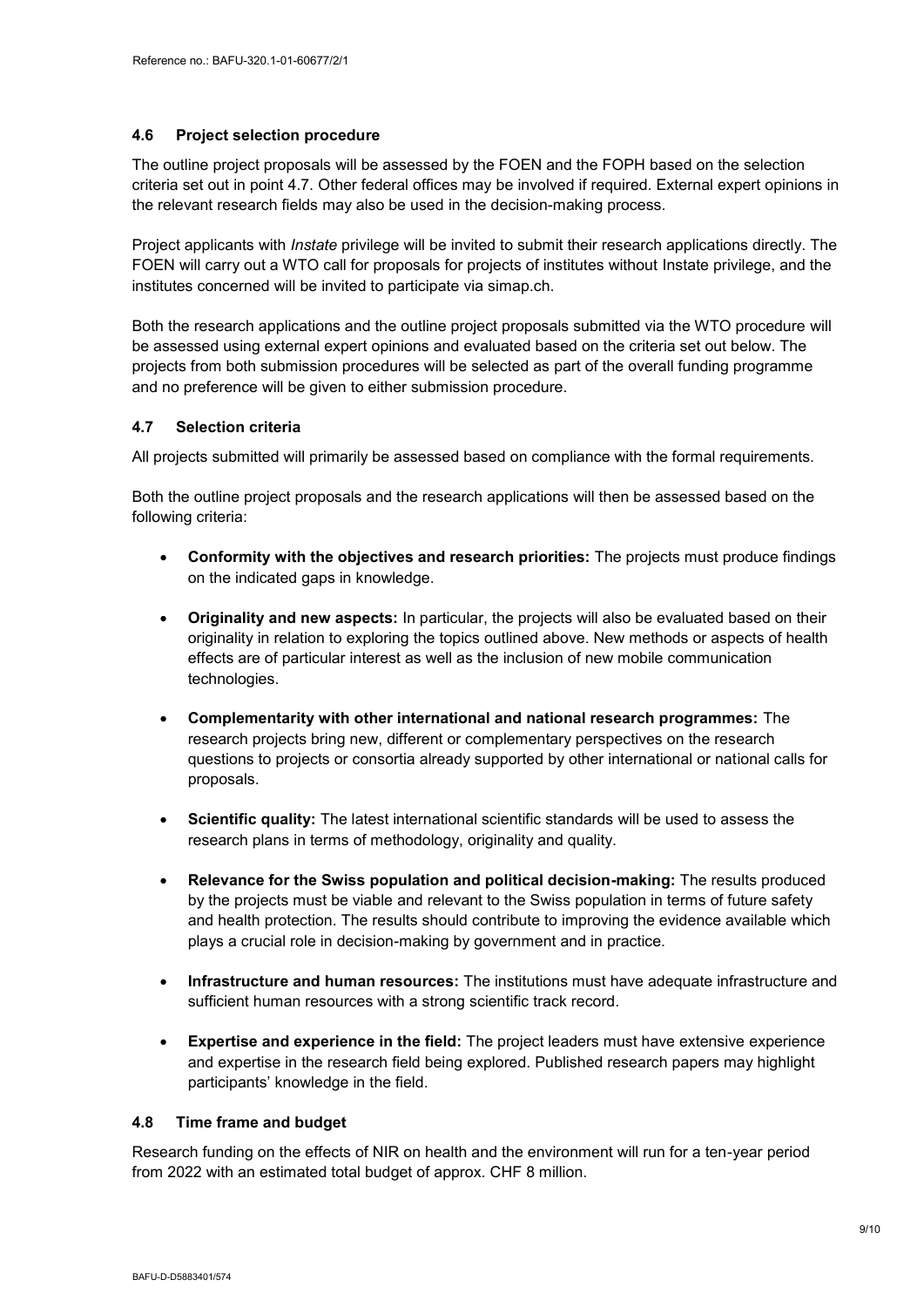#### <span id="page-8-0"></span>**4.6 Project selection procedure**

The outline project proposals will be assessed by the FOEN and the FOPH based on the selection criteria set out in point 4.7. Other federal offices may be involved if required. External expert opinions in the relevant research fields may also be used in the decision-making process.

Project applicants with *Instate* privilege will be invited to submit their research applications directly. The FOEN will carry out a WTO call for proposals for projects of institutes without Instate privilege, and the institutes concerned will be invited to participate via simap.ch.

Both the research applications and the outline project proposals submitted via the WTO procedure will be assessed using external expert opinions and evaluated based on the criteria set out below. The projects from both submission procedures will be selected as part of the overall funding programme and no preference will be given to either submission procedure.

## <span id="page-8-1"></span>**4.7 Selection criteria**

All projects submitted will primarily be assessed based on compliance with the formal requirements.

Both the outline project proposals and the research applications will then be assessed based on the following criteria:

- **Conformity with the objectives and research priorities:** The projects must produce findings on the indicated gaps in knowledge.
- **Originality and new aspects:** In particular, the projects will also be evaluated based on their originality in relation to exploring the topics outlined above. New methods or aspects of health effects are of particular interest as well as the inclusion of new mobile communication technologies.
- **Complementarity with other international and national research programmes:** The research projects bring new, different or complementary perspectives on the research questions to projects or consortia already supported by other international or national calls for proposals.
- **Scientific quality:** The latest international scientific standards will be used to assess the research plans in terms of methodology, originality and quality.
- **Relevance for the Swiss population and political decision-making:** The results produced by the projects must be viable and relevant to the Swiss population in terms of future safety and health protection. The results should contribute to improving the evidence available which plays a crucial role in decision-making by government and in practice.
- **Infrastructure and human resources:** The institutions must have adequate infrastructure and sufficient human resources with a strong scientific track record.
- **Expertise and experience in the field:** The project leaders must have extensive experience and expertise in the research field being explored. Published research papers may highlight participants' knowledge in the field.

## <span id="page-8-2"></span>**4.8 Time frame and budget**

Research funding on the effects of NIR on health and the environment will run for a ten-year period from 2022 with an estimated total budget of approx. CHF 8 million.